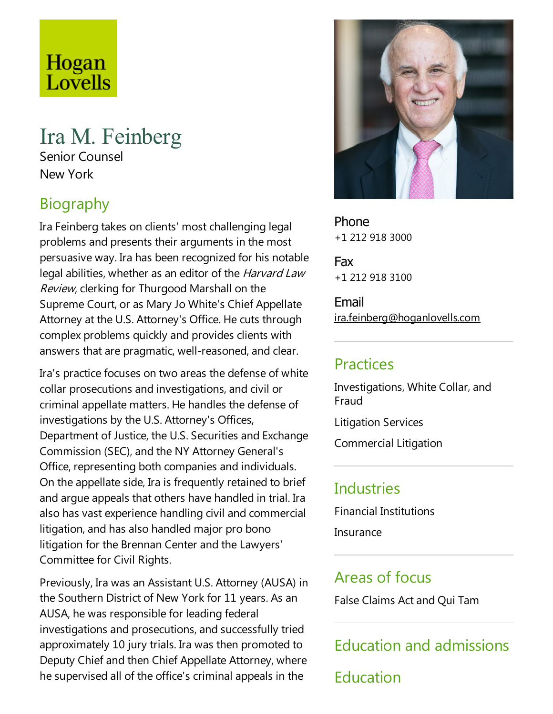# Hogan Lovells

# Ira M. Feinberg

Senior Counsel New York

# Biography

Ira Feinberg takes on clients' most challenging legal problems and presents their arguments in the most persuasive way. Ira has been recognized for his notable legal abilities, whether as an editor of the *Harvard Law* Review, clerking for Thurgood Marshall on the Supreme Court, or as Mary Jo White's Chief Appellate Attorney at the U.S. Attorney's Office. He cuts through complex problems quickly and provides clients with answers that are pragmatic, well-reasoned, and clear.

Ira's practice focuses on two areas the defense of white collar prosecutions and investigations, and civil or criminal appellate matters. He handles the defense of investigations by the U.S. Attorney's Offices, Department of Justice, the U.S. Securities and Exchange Commission (SEC), and the NY Attorney General's Office, representing both companies and individuals. On the appellate side, Ira is frequently retained to brief and argue appeals that others have handled in trial. Ira also has vastexperience handling civil and commercial litigation, and has also handled major pro bono litigation for the Brennan Center and the Lawyers' Committee for Civil Rights.

Previously, Ira was an Assistant U.S. Attorney (AUSA) in the Southern District of New York for 11 years. As an AUSA, he was responsible for leading federal investigations and prosecutions, and successfully tried approximately 10 jury trials. Ira was then promoted to Deputy Chief and then Chief Appellate Attorney, where he supervised all of the office's criminal appeals in the



Phone +1 212 918 3000

Fax +1 212 918 3100

Email ira.feinberg@hoganlovells.com

#### Practices

Investigations, White Collar, and Fraud

Litigation Services

Commercial Litigation

#### **Industries**

Financial Institutions

**Insurance** 

#### Areas of focus

False Claims Act and Qui Tam

Education and admissions

Education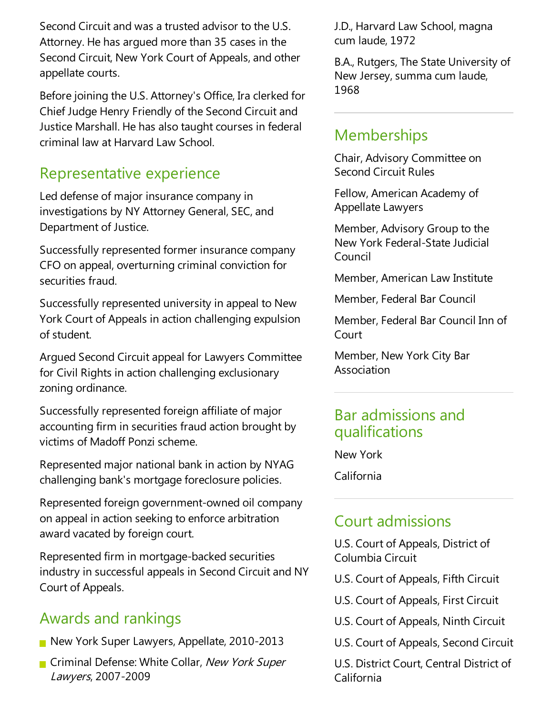Second Circuit and was a trusted advisor to the U.S. Attorney. He has argued more than 35 cases in the Second Circuit, New York Court of Appeals, and other appellate courts.

Before joining the U.S. Attorney's Office, Ira clerked for Chief Judge Henry Friendly of the Second Circuit and Justice Marshall. He has also taught courses in federal criminal law at Harvard Law School.

#### Representative experience

Led defense of major insurance company in investigations by NY Attorney General, SEC, and Department of Justice.

Successfully represented former insurance company CFO on appeal, overturning criminal conviction for securities fraud.

Successfully represented university in appeal to New York Court of Appeals in action challenging expulsion of student.

Argued Second Circuit appeal for Lawyers Committee for Civil Rights in action challenging exclusionary zoning ordinance.

Successfully represented foreign affiliate of major accounting firm in securities fraud action brought by victims of Madoff Ponzi scheme.

Represented major national bank in action by NYAG challenging bank's mortgage foreclosure policies.

Represented foreign government-owned oil company on appeal in action seeking to enforce arbitration award vacated by foreign court.

Represented firm in mortgage-backed securities industry in successful appeals in Second Circuit and NY Court of Appeals.

## Awards and rankings

- New York Super Lawyers, Appellate, 2010-2013
- **Criminal Defense: White Collar, New York Super** Lawyers, 2007-2009

J.D., Harvard Law School, magna cum laude, 1972

B.A., Rutgers, The State University of New Jersey, summa cum laude, 1968

#### **Memberships**

Chair, Advisory Committee on Second Circuit Rules

Fellow, American Academy of Appellate Lawyers

Member, Advisory Group to the New York Federal-State Judicial Council

Member, American Law Institute

Member, Federal Bar Council

Member, Federal Bar Council Inn of Court

Member, New York City Bar Association

#### Bar admissions and qualifications

New York

California

## Court admissions

U.S. Court of Appeals, District of Columbia Circuit

U.S. Court of Appeals, Fifth Circuit

U.S. Court of Appeals, First Circuit

U.S. Court of Appeals, Ninth Circuit

U.S. Court of Appeals, Second Circuit

U.S. District Court, Central District of California